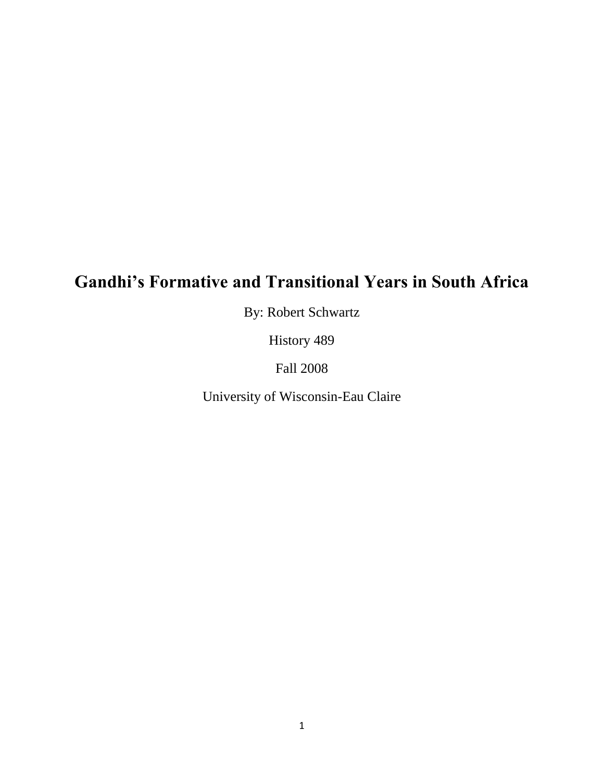# **Gandhi's Formative and Transitional Years in South Africa**

By: Robert Schwartz

History 489

Fall 2008

University of Wisconsin-Eau Claire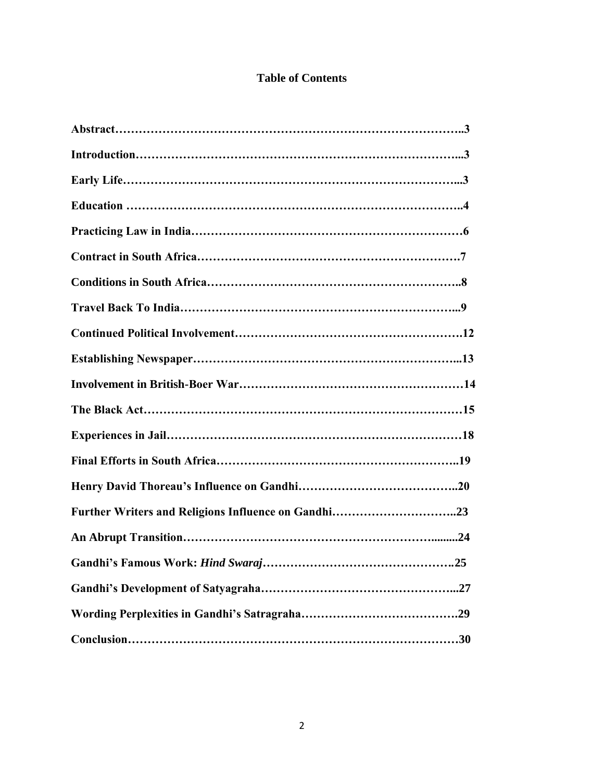# **Table of Contents**

| .25 |
|-----|
|     |
|     |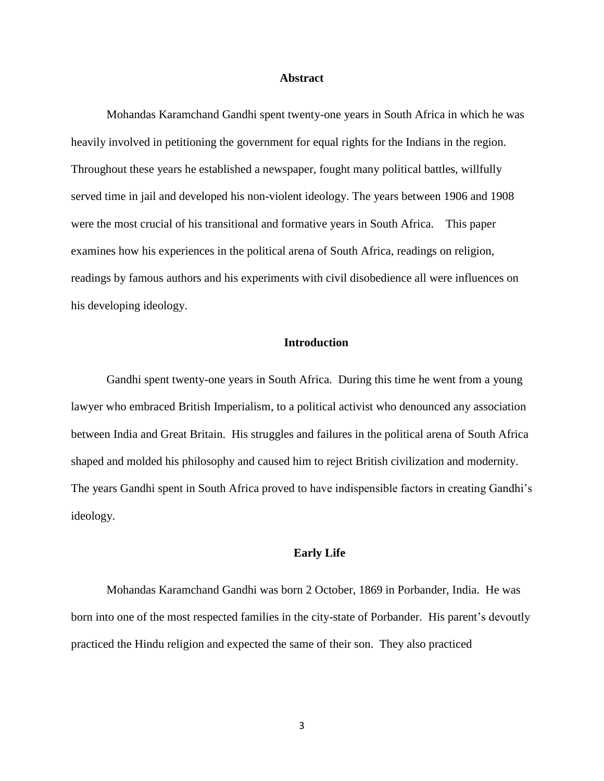#### **Abstract**

Mohandas Karamchand Gandhi spent twenty-one years in South Africa in which he was heavily involved in petitioning the government for equal rights for the Indians in the region. Throughout these years he established a newspaper, fought many political battles, willfully served time in jail and developed his non-violent ideology. The years between 1906 and 1908 were the most crucial of his transitional and formative years in South Africa. This paper examines how his experiences in the political arena of South Africa, readings on religion, readings by famous authors and his experiments with civil disobedience all were influences on his developing ideology.

# **Introduction**

Gandhi spent twenty-one years in South Africa. During this time he went from a young lawyer who embraced British Imperialism, to a political activist who denounced any association between India and Great Britain. His struggles and failures in the political arena of South Africa shaped and molded his philosophy and caused him to reject British civilization and modernity. The years Gandhi spent in South Africa proved to have indispensible factors in creating Gandhi's ideology.

#### **Early Life**

Mohandas Karamchand Gandhi was born 2 October, 1869 in Porbander, India. He was born into one of the most respected families in the city-state of Porbander. His parent's devoutly practiced the Hindu religion and expected the same of their son. They also practiced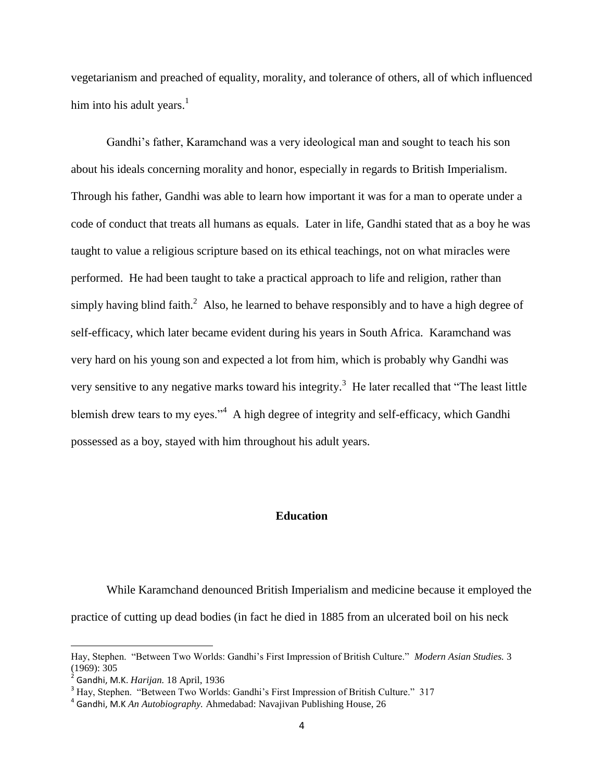vegetarianism and preached of equality, morality, and tolerance of others, all of which influenced him into his adult years. $<sup>1</sup>$ </sup>

Gandhi's father, Karamchand was a very ideological man and sought to teach his son about his ideals concerning morality and honor, especially in regards to British Imperialism. Through his father, Gandhi was able to learn how important it was for a man to operate under a code of conduct that treats all humans as equals. Later in life, Gandhi stated that as a boy he was taught to value a religious scripture based on its ethical teachings, not on what miracles were performed. He had been taught to take a practical approach to life and religion, rather than simply having blind faith.<sup>2</sup> Also, he learned to behave responsibly and to have a high degree of self-efficacy, which later became evident during his years in South Africa. Karamchand was very hard on his young son and expected a lot from him, which is probably why Gandhi was very sensitive to any negative marks toward his integrity.<sup>3</sup> He later recalled that "The least little blemish drew tears to my eyes."<sup>4</sup> A high degree of integrity and self-efficacy, which Gandhi possessed as a boy, stayed with him throughout his adult years.

# **Education**

While Karamchand denounced British Imperialism and medicine because it employed the practice of cutting up dead bodies (in fact he died in 1885 from an ulcerated boil on his neck

Hay, Stephen. "Between Two Worlds: Gandhi's First Impression of British Culture." *Modern Asian Studies.* 3 (1969): 305

<sup>2</sup> Gandhi, M.K. *Harijan.* 18 April, 1936

<sup>&</sup>lt;sup>3</sup> Hay, Stephen. "Between Two Worlds: Gandhi's First Impression of British Culture." 317

<sup>4</sup> Gandhi, M.K *An Autobiography.* Ahmedabad: Navajivan Publishing House, 26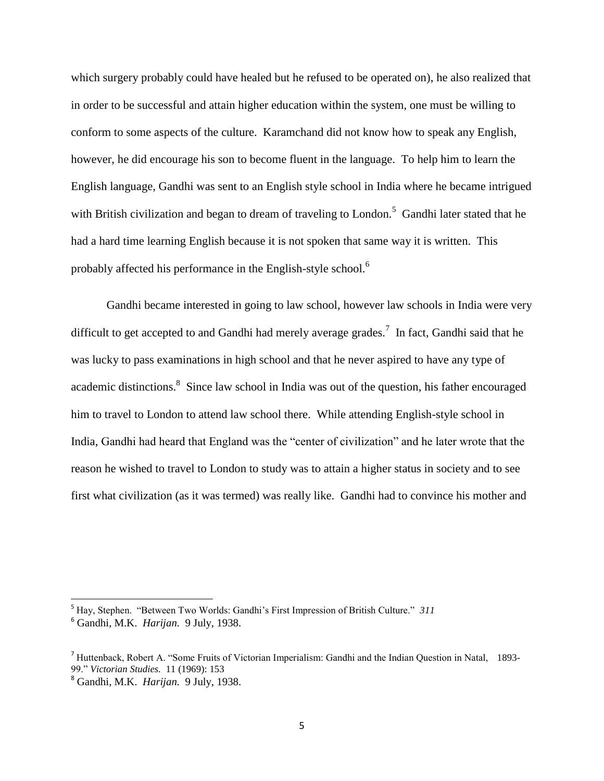which surgery probably could have healed but he refused to be operated on), he also realized that in order to be successful and attain higher education within the system, one must be willing to conform to some aspects of the culture. Karamchand did not know how to speak any English, however, he did encourage his son to become fluent in the language. To help him to learn the English language, Gandhi was sent to an English style school in India where he became intrigued with British civilization and began to dream of traveling to London.<sup>5</sup> Gandhi later stated that he had a hard time learning English because it is not spoken that same way it is written. This probably affected his performance in the English-style school.<sup>6</sup>

Gandhi became interested in going to law school, however law schools in India were very difficult to get accepted to and Gandhi had merely average grades.<sup>7</sup> In fact, Gandhi said that he was lucky to pass examinations in high school and that he never aspired to have any type of academic distinctions.<sup>8</sup> Since law school in India was out of the question, his father encouraged him to travel to London to attend law school there. While attending English-style school in India, Gandhi had heard that England was the "center of civilization" and he later wrote that the reason he wished to travel to London to study was to attain a higher status in society and to see first what civilization (as it was termed) was really like. Gandhi had to convince his mother and

<sup>5</sup> Hay, Stephen. "Between Two Worlds: Gandhi's First Impression of British Culture." *311*

<sup>6</sup> Gandhi, M.K. *Harijan.* 9 July, 1938.

<sup>7</sup> Huttenback, Robert A. "Some Fruits of Victorian Imperialism: Gandhi and the Indian Question in Natal, 1893- 99." *Victorian Studies.* 11 (1969): 153

<sup>8</sup> Gandhi, M.K. *Harijan.* 9 July, 1938.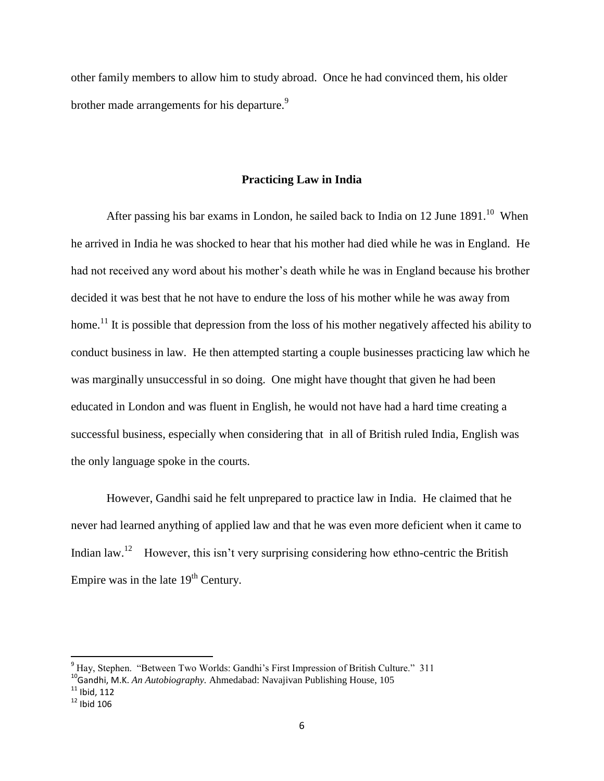other family members to allow him to study abroad. Once he had convinced them, his older brother made arrangements for his departure.<sup>9</sup>

#### **Practicing Law in India**

After passing his bar exams in London, he sailed back to India on 12 June  $1891.^{10}$  When he arrived in India he was shocked to hear that his mother had died while he was in England. He had not received any word about his mother's death while he was in England because his brother decided it was best that he not have to endure the loss of his mother while he was away from home.<sup>11</sup> It is possible that depression from the loss of his mother negatively affected his ability to conduct business in law. He then attempted starting a couple businesses practicing law which he was marginally unsuccessful in so doing. One might have thought that given he had been educated in London and was fluent in English, he would not have had a hard time creating a successful business, especially when considering that in all of British ruled India, English was the only language spoke in the courts.

However, Gandhi said he felt unprepared to practice law in India. He claimed that he never had learned anything of applied law and that he was even more deficient when it came to Indian law.<sup>12</sup> However, this isn't very surprising considering how ethno-centric the British Empire was in the late  $19<sup>th</sup>$  Century.

 $\overline{a}$ 

<sup>&</sup>lt;sup>9</sup> Hay, Stephen. "Between Two Worlds: Gandhi's First Impression of British Culture." 311

<sup>&</sup>lt;sup>10</sup>Gandhi, M.K. *An Autobiography*. Ahmedabad: Navajivan Publishing House, 105

 $11$  Ibid, 112

 $12$  Ibid 106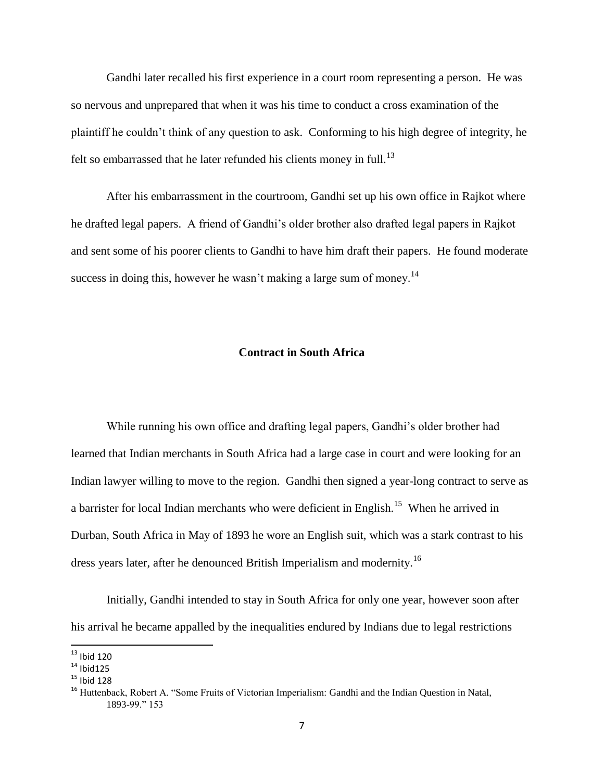Gandhi later recalled his first experience in a court room representing a person. He was so nervous and unprepared that when it was his time to conduct a cross examination of the plaintiff he couldn't think of any question to ask. Conforming to his high degree of integrity, he felt so embarrassed that he later refunded his clients money in full.<sup>13</sup>

After his embarrassment in the courtroom, Gandhi set up his own office in Rajkot where he drafted legal papers. A friend of Gandhi's older brother also drafted legal papers in Rajkot and sent some of his poorer clients to Gandhi to have him draft their papers. He found moderate success in doing this, however he wasn't making a large sum of money.<sup>14</sup>

# **Contract in South Africa**

While running his own office and drafting legal papers, Gandhi's older brother had learned that Indian merchants in South Africa had a large case in court and were looking for an Indian lawyer willing to move to the region. Gandhi then signed a year-long contract to serve as a barrister for local Indian merchants who were deficient in English.<sup>15</sup> When he arrived in Durban, South Africa in May of 1893 he wore an English suit, which was a stark contrast to his dress years later, after he denounced British Imperialism and modernity.<sup>16</sup>

Initially, Gandhi intended to stay in South Africa for only one year, however soon after his arrival he became appalled by the inequalities endured by Indians due to legal restrictions

 $13$  Ibid 120

 $14$  Ibid125

 $15$  Ibid 128

<sup>&</sup>lt;sup>16</sup> Huttenback, Robert A. "Some Fruits of Victorian Imperialism: Gandhi and the Indian Question in Natal, 1893-99." 153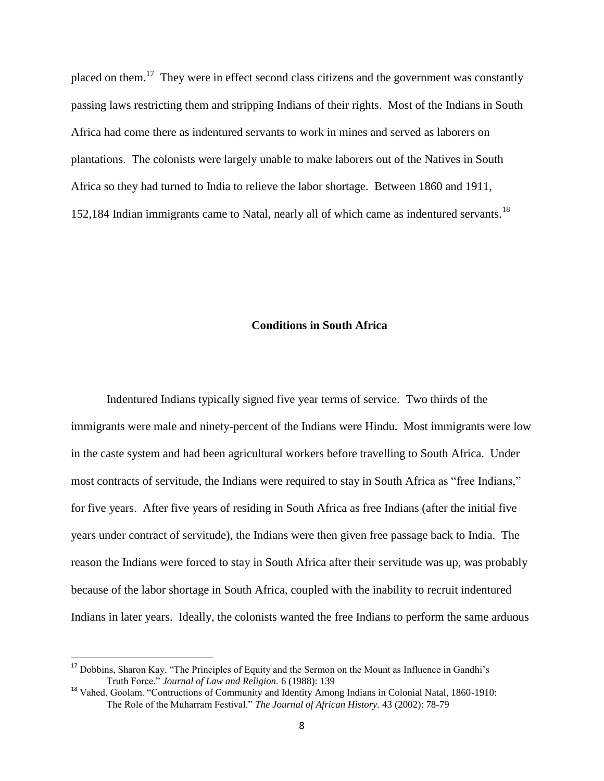placed on them.<sup>17</sup> They were in effect second class citizens and the government was constantly passing laws restricting them and stripping Indians of their rights. Most of the Indians in South Africa had come there as indentured servants to work in mines and served as laborers on plantations. The colonists were largely unable to make laborers out of the Natives in South Africa so they had turned to India to relieve the labor shortage. Between 1860 and 1911, 152,184 Indian immigrants came to Natal, nearly all of which came as indentured servants.<sup>18</sup>

# **Conditions in South Africa**

Indentured Indians typically signed five year terms of service. Two thirds of the immigrants were male and ninety-percent of the Indians were Hindu. Most immigrants were low in the caste system and had been agricultural workers before travelling to South Africa. Under most contracts of servitude, the Indians were required to stay in South Africa as "free Indians," for five years. After five years of residing in South Africa as free Indians (after the initial five years under contract of servitude), the Indians were then given free passage back to India. The reason the Indians were forced to stay in South Africa after their servitude was up, was probably because of the labor shortage in South Africa, coupled with the inability to recruit indentured Indians in later years. Ideally, the colonists wanted the free Indians to perform the same arduous

<sup>&</sup>lt;sup>17</sup> Dobbins, Sharon Kay. "The Principles of Equity and the Sermon on the Mount as Influence in Gandhi's Truth Force." *Journal of Law and Religion.* 6 (1988): 139

<sup>&</sup>lt;sup>18</sup> Vahed, Goolam. "Contructions of Community and Identity Among Indians in Colonial Natal, 1860-1910: The Role of the Muharram Festival." *The Journal of African History.* 43 (2002): 78-79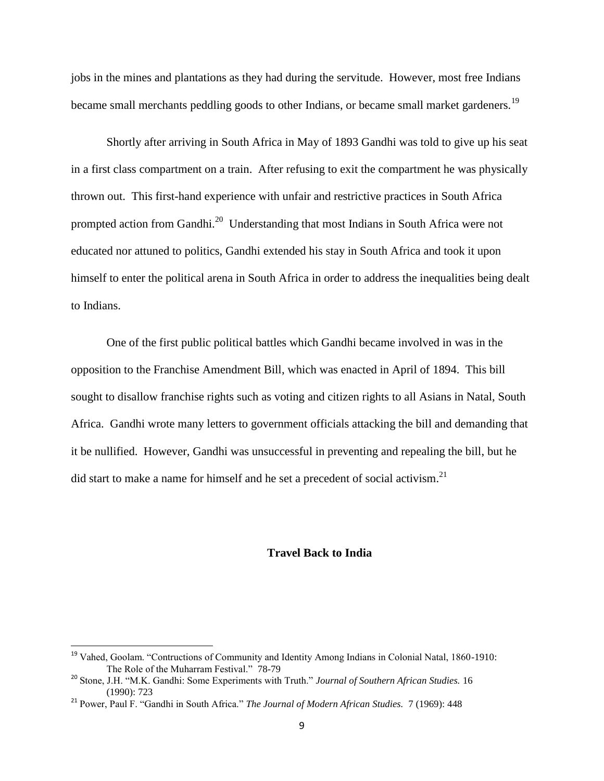jobs in the mines and plantations as they had during the servitude. However, most free Indians became small merchants peddling goods to other Indians, or became small market gardeners.<sup>19</sup>

Shortly after arriving in South Africa in May of 1893 Gandhi was told to give up his seat in a first class compartment on a train. After refusing to exit the compartment he was physically thrown out. This first-hand experience with unfair and restrictive practices in South Africa prompted action from Gandhi.<sup>20</sup> Understanding that most Indians in South Africa were not educated nor attuned to politics, Gandhi extended his stay in South Africa and took it upon himself to enter the political arena in South Africa in order to address the inequalities being dealt to Indians.

One of the first public political battles which Gandhi became involved in was in the opposition to the Franchise Amendment Bill, which was enacted in April of 1894. This bill sought to disallow franchise rights such as voting and citizen rights to all Asians in Natal, South Africa. Gandhi wrote many letters to government officials attacking the bill and demanding that it be nullified. However, Gandhi was unsuccessful in preventing and repealing the bill, but he did start to make a name for himself and he set a precedent of social activism.<sup>21</sup>

# **Travel Back to India**

<sup>&</sup>lt;sup>19</sup> Vahed, Goolam. "Contructions of Community and Identity Among Indians in Colonial Natal, 1860-1910: The Role of the Muharram Festival." 78-79

<sup>20</sup> Stone, J.H. "M.K. Gandhi: Some Experiments with Truth." *Journal of Southern African Studies.* 16 (1990): 723

<sup>21</sup> Power, Paul F. "Gandhi in South Africa." *The Journal of Modern African Studies.* 7 (1969): 448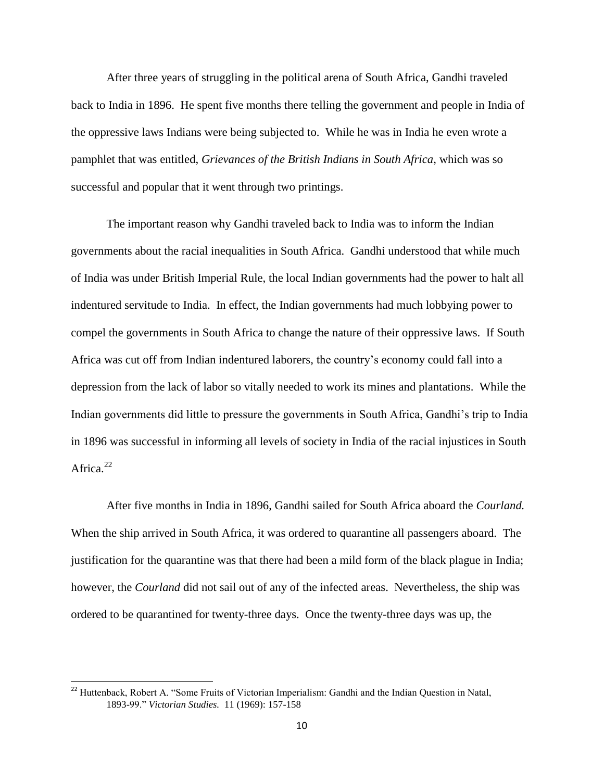After three years of struggling in the political arena of South Africa, Gandhi traveled back to India in 1896. He spent five months there telling the government and people in India of the oppressive laws Indians were being subjected to. While he was in India he even wrote a pamphlet that was entitled, *Grievances of the British Indians in South Africa*, which was so successful and popular that it went through two printings.

The important reason why Gandhi traveled back to India was to inform the Indian governments about the racial inequalities in South Africa. Gandhi understood that while much of India was under British Imperial Rule, the local Indian governments had the power to halt all indentured servitude to India. In effect, the Indian governments had much lobbying power to compel the governments in South Africa to change the nature of their oppressive laws. If South Africa was cut off from Indian indentured laborers, the country's economy could fall into a depression from the lack of labor so vitally needed to work its mines and plantations. While the Indian governments did little to pressure the governments in South Africa, Gandhi's trip to India in 1896 was successful in informing all levels of society in India of the racial injustices in South Africa. $22$ 

After five months in India in 1896, Gandhi sailed for South Africa aboard the *Courland.* When the ship arrived in South Africa, it was ordered to quarantine all passengers aboard. The justification for the quarantine was that there had been a mild form of the black plague in India; however, the *Courland* did not sail out of any of the infected areas. Nevertheless, the ship was ordered to be quarantined for twenty-three days. Once the twenty-three days was up, the

<sup>&</sup>lt;sup>22</sup> Huttenback, Robert A. "Some Fruits of Victorian Imperialism: Gandhi and the Indian Question in Natal, 1893-99." *Victorian Studies.* 11 (1969): 157-158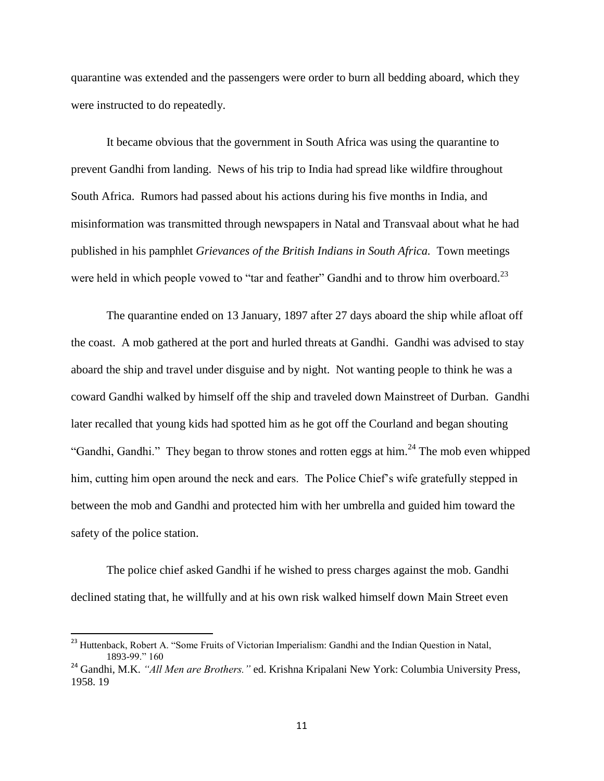quarantine was extended and the passengers were order to burn all bedding aboard, which they were instructed to do repeatedly.

It became obvious that the government in South Africa was using the quarantine to prevent Gandhi from landing. News of his trip to India had spread like wildfire throughout South Africa. Rumors had passed about his actions during his five months in India, and misinformation was transmitted through newspapers in Natal and Transvaal about what he had published in his pamphlet *Grievances of the British Indians in South Africa.* Town meetings were held in which people vowed to "tar and feather" Gandhi and to throw him overboard. $^{23}$ 

The quarantine ended on 13 January, 1897 after 27 days aboard the ship while afloat off the coast. A mob gathered at the port and hurled threats at Gandhi. Gandhi was advised to stay aboard the ship and travel under disguise and by night. Not wanting people to think he was a coward Gandhi walked by himself off the ship and traveled down Mainstreet of Durban. Gandhi later recalled that young kids had spotted him as he got off the Courland and began shouting "Gandhi, Gandhi." They began to throw stones and rotten eggs at him. $^{24}$  The mob even whipped him, cutting him open around the neck and ears. The Police Chief's wife gratefully stepped in between the mob and Gandhi and protected him with her umbrella and guided him toward the safety of the police station.

The police chief asked Gandhi if he wished to press charges against the mob. Gandhi declined stating that, he willfully and at his own risk walked himself down Main Street even

<sup>&</sup>lt;sup>23</sup> Huttenback, Robert A. "Some Fruits of Victorian Imperialism: Gandhi and the Indian Question in Natal, 1893-99." 160

<sup>24</sup> Gandhi, M.K. *"All Men are Brothers."* ed. Krishna Kripalani New York: Columbia University Press, 1958. 19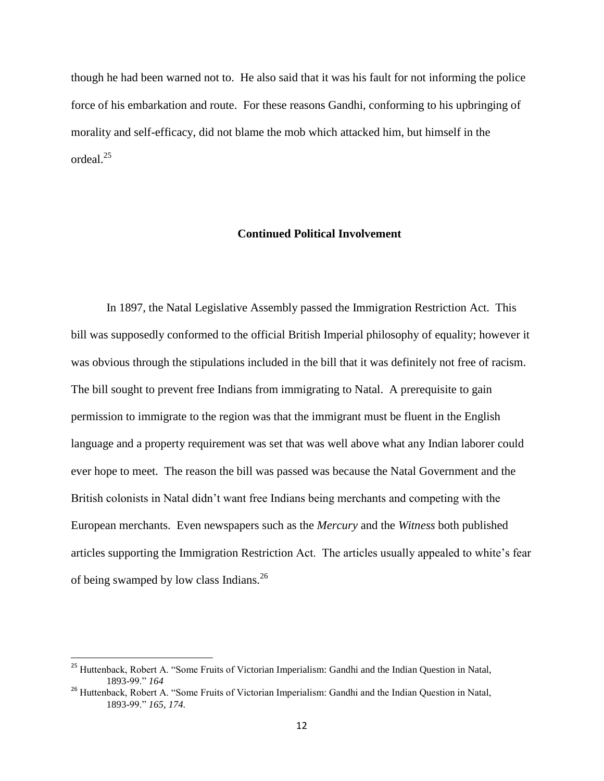though he had been warned not to. He also said that it was his fault for not informing the police force of his embarkation and route. For these reasons Gandhi, conforming to his upbringing of morality and self-efficacy, did not blame the mob which attacked him, but himself in the ordeal.<sup>25</sup>

# **Continued Political Involvement**

In 1897, the Natal Legislative Assembly passed the Immigration Restriction Act. This bill was supposedly conformed to the official British Imperial philosophy of equality; however it was obvious through the stipulations included in the bill that it was definitely not free of racism. The bill sought to prevent free Indians from immigrating to Natal. A prerequisite to gain permission to immigrate to the region was that the immigrant must be fluent in the English language and a property requirement was set that was well above what any Indian laborer could ever hope to meet. The reason the bill was passed was because the Natal Government and the British colonists in Natal didn't want free Indians being merchants and competing with the European merchants. Even newspapers such as the *Mercury* and the *Witness* both published articles supporting the Immigration Restriction Act. The articles usually appealed to white's fear of being swamped by low class Indians.<sup>26</sup>

<sup>&</sup>lt;sup>25</sup> Huttenback, Robert A. "Some Fruits of Victorian Imperialism: Gandhi and the Indian Question in Natal, 1893-99." *164*

<sup>&</sup>lt;sup>26</sup> Huttenback, Robert A. "Some Fruits of Victorian Imperialism: Gandhi and the Indian Question in Natal, 1893-99." *165, 174.*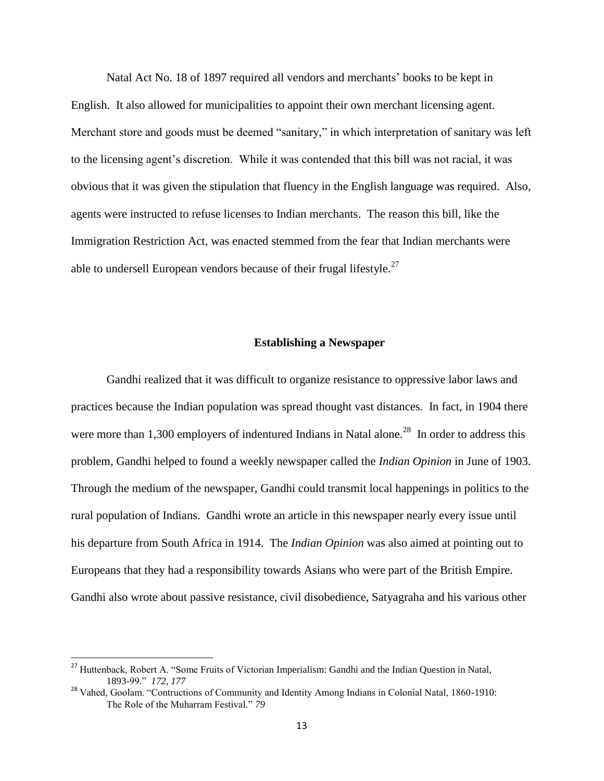Natal Act No. 18 of 1897 required all vendors and merchants' books to be kept in English. It also allowed for municipalities to appoint their own merchant licensing agent. Merchant store and goods must be deemed "sanitary," in which interpretation of sanitary was left to the licensing agent's discretion. While it was contended that this bill was not racial, it was obvious that it was given the stipulation that fluency in the English language was required. Also, agents were instructed to refuse licenses to Indian merchants. The reason this bill, like the Immigration Restriction Act, was enacted stemmed from the fear that Indian merchants were able to undersell European vendors because of their frugal lifestyle.<sup>27</sup>

#### **Establishing a Newspaper**

Gandhi realized that it was difficult to organize resistance to oppressive labor laws and practices because the Indian population was spread thought vast distances. In fact, in 1904 there were more than 1,300 employers of indentured Indians in Natal alone.<sup>28</sup> In order to address this problem, Gandhi helped to found a weekly newspaper called the *Indian Opinion* in June of 1903. Through the medium of the newspaper, Gandhi could transmit local happenings in politics to the rural population of Indians. Gandhi wrote an article in this newspaper nearly every issue until his departure from South Africa in 1914. The *Indian Opinion* was also aimed at pointing out to Europeans that they had a responsibility towards Asians who were part of the British Empire. Gandhi also wrote about passive resistance, civil disobedience, Satyagraha and his various other

<sup>&</sup>lt;sup>27</sup> Huttenback, Robert A. "Some Fruits of Victorian Imperialism: Gandhi and the Indian Question in Natal, 1893-99." *172, 177*

<sup>&</sup>lt;sup>28</sup> Vahed, Goolam. "Contructions of Community and Identity Among Indians in Colonial Natal, 1860-1910: The Role of the Muharram Festival." *79*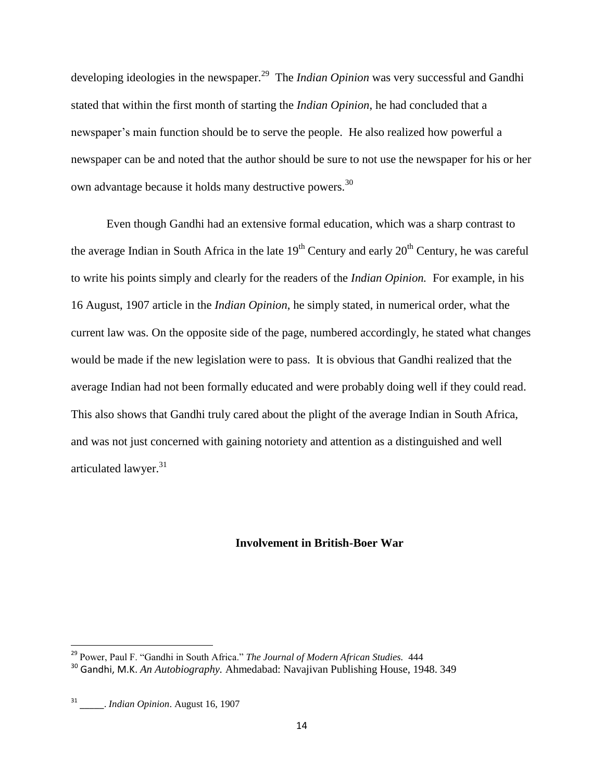developing ideologies in the newspaper.<sup>29</sup> The *Indian Opinion* was very successful and Gandhi stated that within the first month of starting the *Indian Opinion*, he had concluded that a newspaper's main function should be to serve the people. He also realized how powerful a newspaper can be and noted that the author should be sure to not use the newspaper for his or her own advantage because it holds many destructive powers.<sup>30</sup>

Even though Gandhi had an extensive formal education, which was a sharp contrast to the average Indian in South Africa in the late  $19<sup>th</sup>$  Century and early  $20<sup>th</sup>$  Century, he was careful to write his points simply and clearly for the readers of the *Indian Opinion.* For example, in his 16 August, 1907 article in the *Indian Opinion*, he simply stated, in numerical order, what the current law was. On the opposite side of the page, numbered accordingly, he stated what changes would be made if the new legislation were to pass. It is obvious that Gandhi realized that the average Indian had not been formally educated and were probably doing well if they could read. This also shows that Gandhi truly cared about the plight of the average Indian in South Africa, and was not just concerned with gaining notoriety and attention as a distinguished and well articulated lawyer.<sup>31</sup>

#### **Involvement in British-Boer War**

<sup>29</sup> Power, Paul F. "Gandhi in South Africa." *The Journal of Modern African Studies.* 444

<sup>30</sup> Gandhi, M.K. *An Autobiography.* Ahmedabad: Navajivan Publishing House, 1948. 349

<sup>31</sup> \_\_\_\_\_. *Indian Opinion*. August 16, 1907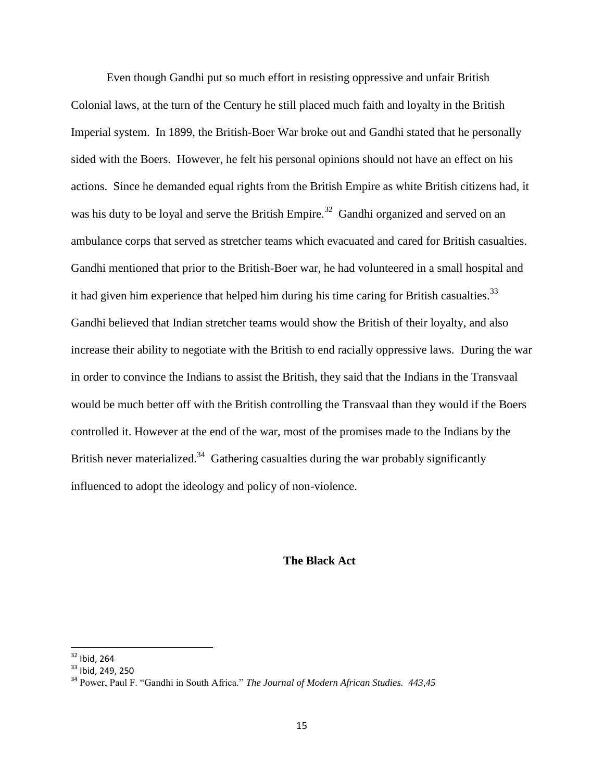Even though Gandhi put so much effort in resisting oppressive and unfair British Colonial laws, at the turn of the Century he still placed much faith and loyalty in the British Imperial system. In 1899, the British-Boer War broke out and Gandhi stated that he personally sided with the Boers. However, he felt his personal opinions should not have an effect on his actions. Since he demanded equal rights from the British Empire as white British citizens had, it was his duty to be loyal and serve the British Empire.<sup>32</sup> Gandhi organized and served on an ambulance corps that served as stretcher teams which evacuated and cared for British casualties. Gandhi mentioned that prior to the British-Boer war, he had volunteered in a small hospital and it had given him experience that helped him during his time caring for British casualties.<sup>33</sup> Gandhi believed that Indian stretcher teams would show the British of their loyalty, and also increase their ability to negotiate with the British to end racially oppressive laws. During the war in order to convince the Indians to assist the British, they said that the Indians in the Transvaal would be much better off with the British controlling the Transvaal than they would if the Boers controlled it. However at the end of the war, most of the promises made to the Indians by the British never materialized.<sup>34</sup> Gathering casualties during the war probably significantly influenced to adopt the ideology and policy of non-violence.

# **The Black Act**

 $32$  Ibid, 264

<sup>&</sup>lt;sup>33</sup> Ibid, 249, 250

<sup>34</sup> Power, Paul F. "Gandhi in South Africa." *The Journal of Modern African Studies. 443,45*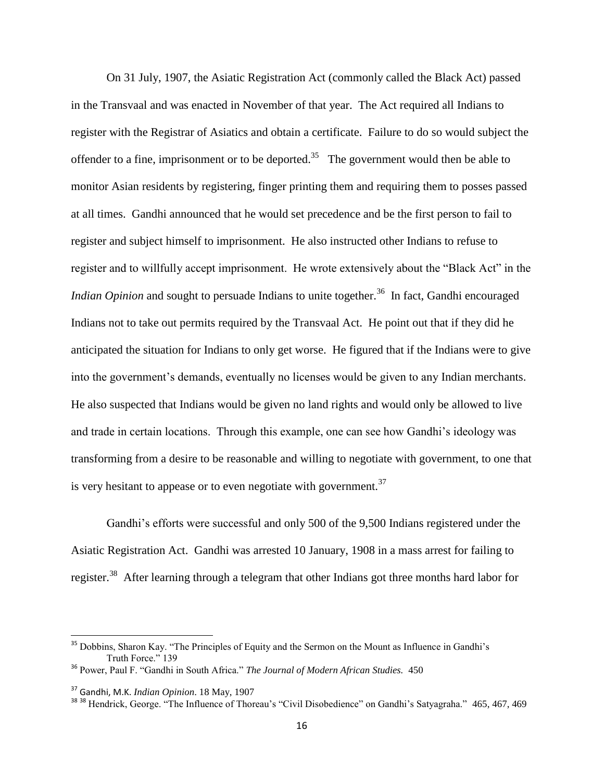On 31 July, 1907, the Asiatic Registration Act (commonly called the Black Act) passed in the Transvaal and was enacted in November of that year. The Act required all Indians to register with the Registrar of Asiatics and obtain a certificate. Failure to do so would subject the offender to a fine, imprisonment or to be deported.<sup>35</sup> The government would then be able to monitor Asian residents by registering, finger printing them and requiring them to posses passed at all times. Gandhi announced that he would set precedence and be the first person to fail to register and subject himself to imprisonment. He also instructed other Indians to refuse to register and to willfully accept imprisonment. He wrote extensively about the "Black Act" in the *Indian Opinion* and sought to persuade Indians to unite together.<sup>36</sup> In fact, Gandhi encouraged Indians not to take out permits required by the Transvaal Act. He point out that if they did he anticipated the situation for Indians to only get worse. He figured that if the Indians were to give into the government's demands, eventually no licenses would be given to any Indian merchants. He also suspected that Indians would be given no land rights and would only be allowed to live and trade in certain locations. Through this example, one can see how Gandhi's ideology was transforming from a desire to be reasonable and willing to negotiate with government, to one that is very hesitant to appease or to even negotiate with government.<sup>37</sup>

Gandhi's efforts were successful and only 500 of the 9,500 Indians registered under the Asiatic Registration Act. Gandhi was arrested 10 January, 1908 in a mass arrest for failing to register.<sup>38</sup> After learning through a telegram that other Indians got three months hard labor for

<sup>&</sup>lt;sup>35</sup> Dobbins, Sharon Kay. "The Principles of Equity and the Sermon on the Mount as Influence in Gandhi's Truth Force." 139

<sup>36</sup> Power, Paul F. "Gandhi in South Africa." *The Journal of Modern African Studies.* 450

<sup>37</sup> Gandhi, M.K. *Indian Opinion*. 18 May, 1907

<sup>&</sup>lt;sup>38 38</sup> Hendrick, George. "The Influence of Thoreau's "Civil Disobedience" on Gandhi's Satyagraha." 465, 467, 469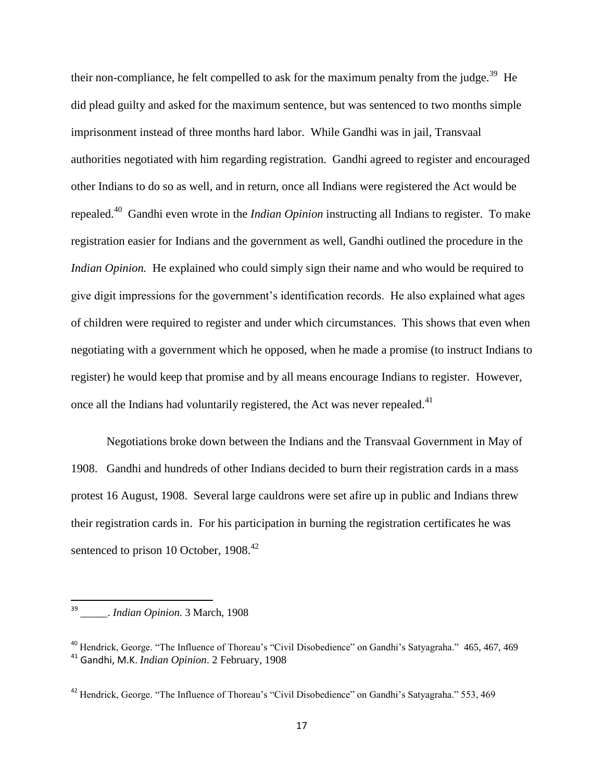their non-compliance, he felt compelled to ask for the maximum penalty from the judge.<sup>39</sup> He did plead guilty and asked for the maximum sentence, but was sentenced to two months simple imprisonment instead of three months hard labor. While Gandhi was in jail, Transvaal authorities negotiated with him regarding registration. Gandhi agreed to register and encouraged other Indians to do so as well, and in return, once all Indians were registered the Act would be repealed.<sup>40</sup> Gandhi even wrote in the *Indian Opinion* instructing all Indians to register. To make registration easier for Indians and the government as well, Gandhi outlined the procedure in the *Indian Opinion.* He explained who could simply sign their name and who would be required to give digit impressions for the government's identification records. He also explained what ages of children were required to register and under which circumstances. This shows that even when negotiating with a government which he opposed, when he made a promise (to instruct Indians to register) he would keep that promise and by all means encourage Indians to register. However, once all the Indians had voluntarily registered, the Act was never repealed. $41$ 

Negotiations broke down between the Indians and the Transvaal Government in May of 1908. Gandhi and hundreds of other Indians decided to burn their registration cards in a mass protest 16 August, 1908. Several large cauldrons were set afire up in public and Indians threw their registration cards in. For his participation in burning the registration certificates he was sentenced to prison 10 October, 1908.<sup>42</sup>

<sup>—&</sup>lt;br>39 \_\_\_\_\_. *Indian Opinion*. 3 March, 1908

<sup>&</sup>lt;sup>40</sup> Hendrick, George. "The Influence of Thoreau's "Civil Disobedience" on Gandhi's Satyagraha." 465, 467, 469 <sup>41</sup> Gandhi, M.K. *Indian Opinion*. 2 February, 1908

<sup>&</sup>lt;sup>42</sup> Hendrick, George. "The Influence of Thoreau's "Civil Disobedience" on Gandhi's Satyagraha." 553, 469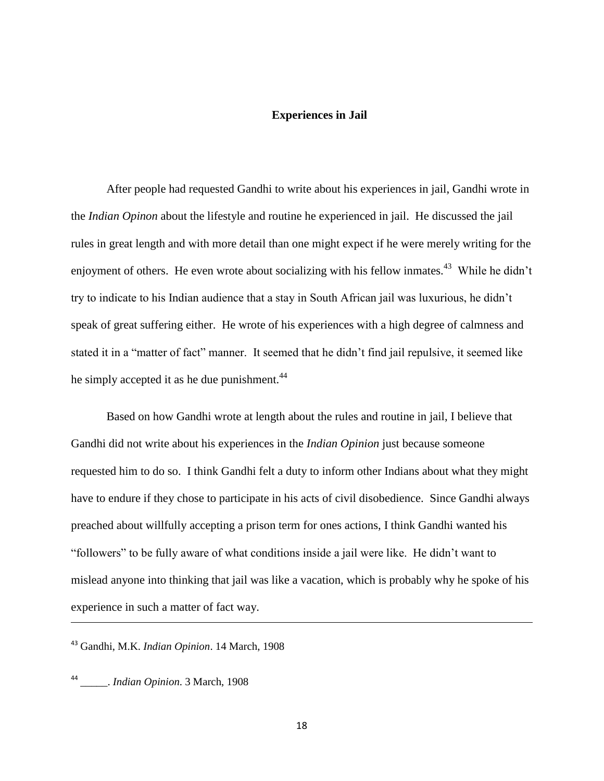#### **Experiences in Jail**

After people had requested Gandhi to write about his experiences in jail, Gandhi wrote in the *Indian Opinon* about the lifestyle and routine he experienced in jail. He discussed the jail rules in great length and with more detail than one might expect if he were merely writing for the enjoyment of others. He even wrote about socializing with his fellow inmates.<sup>43</sup> While he didn't try to indicate to his Indian audience that a stay in South African jail was luxurious, he didn't speak of great suffering either. He wrote of his experiences with a high degree of calmness and stated it in a "matter of fact" manner. It seemed that he didn't find jail repulsive, it seemed like he simply accepted it as he due punishment.<sup>44</sup>

Based on how Gandhi wrote at length about the rules and routine in jail, I believe that Gandhi did not write about his experiences in the *Indian Opinion* just because someone requested him to do so. I think Gandhi felt a duty to inform other Indians about what they might have to endure if they chose to participate in his acts of civil disobedience. Since Gandhi always preached about willfully accepting a prison term for ones actions, I think Gandhi wanted his "followers" to be fully aware of what conditions inside a jail were like. He didn't want to mislead anyone into thinking that jail was like a vacation, which is probably why he spoke of his experience in such a matter of fact way.

<sup>43</sup> Gandhi, M.K. *Indian Opinion*. 14 March, 1908

44 \_\_\_\_\_. *Indian Opinion*. 3 March, 1908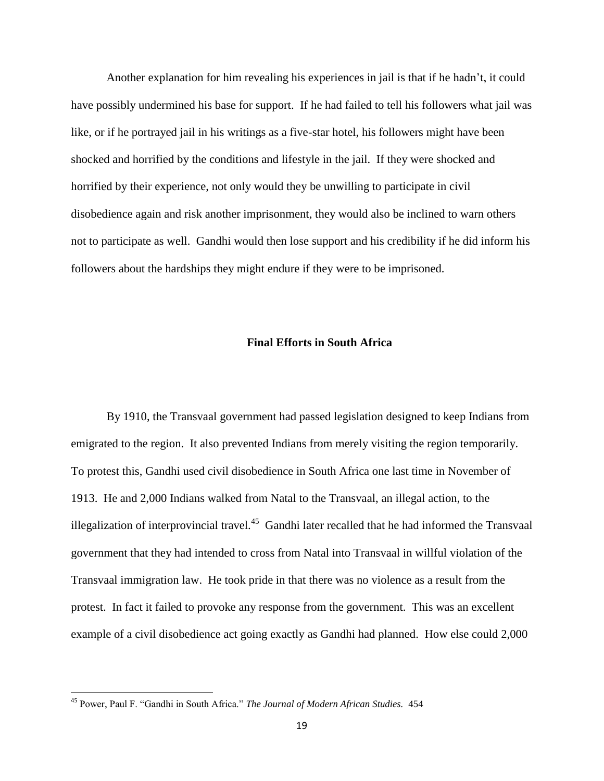Another explanation for him revealing his experiences in jail is that if he hadn't, it could have possibly undermined his base for support. If he had failed to tell his followers what jail was like, or if he portrayed jail in his writings as a five-star hotel, his followers might have been shocked and horrified by the conditions and lifestyle in the jail. If they were shocked and horrified by their experience, not only would they be unwilling to participate in civil disobedience again and risk another imprisonment, they would also be inclined to warn others not to participate as well. Gandhi would then lose support and his credibility if he did inform his followers about the hardships they might endure if they were to be imprisoned.

# **Final Efforts in South Africa**

By 1910, the Transvaal government had passed legislation designed to keep Indians from emigrated to the region. It also prevented Indians from merely visiting the region temporarily. To protest this, Gandhi used civil disobedience in South Africa one last time in November of 1913. He and 2,000 Indians walked from Natal to the Transvaal, an illegal action, to the illegalization of interprovincial travel.<sup>45</sup> Gandhi later recalled that he had informed the Transvaal government that they had intended to cross from Natal into Transvaal in willful violation of the Transvaal immigration law. He took pride in that there was no violence as a result from the protest. In fact it failed to provoke any response from the government. This was an excellent example of a civil disobedience act going exactly as Gandhi had planned. How else could 2,000

<sup>45</sup> Power, Paul F. "Gandhi in South Africa." *The Journal of Modern African Studies.* 454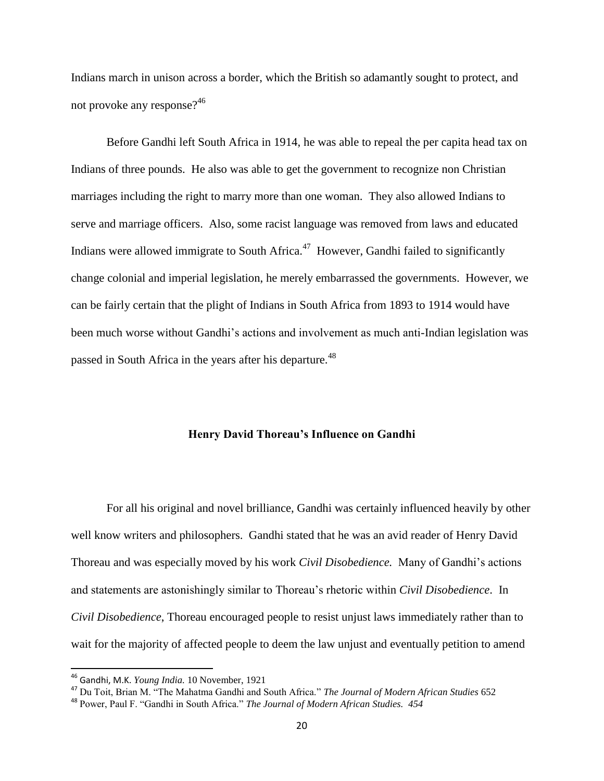Indians march in unison across a border, which the British so adamantly sought to protect, and not provoke any response?<sup>46</sup>

Before Gandhi left South Africa in 1914, he was able to repeal the per capita head tax on Indians of three pounds. He also was able to get the government to recognize non Christian marriages including the right to marry more than one woman. They also allowed Indians to serve and marriage officers. Also, some racist language was removed from laws and educated Indians were allowed immigrate to South Africa. $47$  However, Gandhi failed to significantly change colonial and imperial legislation, he merely embarrassed the governments. However, we can be fairly certain that the plight of Indians in South Africa from 1893 to 1914 would have been much worse without Gandhi's actions and involvement as much anti-Indian legislation was passed in South Africa in the years after his departure.<sup>48</sup>

#### **Henry David Thoreau's Influence on Gandhi**

For all his original and novel brilliance, Gandhi was certainly influenced heavily by other well know writers and philosophers. Gandhi stated that he was an avid reader of Henry David Thoreau and was especially moved by his work *Civil Disobedience.* Many of Gandhi's actions and statements are astonishingly similar to Thoreau's rhetoric within *Civil Disobedience*. In *Civil Disobedience*, Thoreau encouraged people to resist unjust laws immediately rather than to wait for the majority of affected people to deem the law unjust and eventually petition to amend

<sup>46</sup> Gandhi, M.K. *Young India.* 10 November, 1921

<sup>47</sup> Du Toit, Brian M. "The Mahatma Gandhi and South Africa." *The Journal of Modern African Studies* 652

<sup>48</sup> Power, Paul F. "Gandhi in South Africa." *The Journal of Modern African Studies. 454*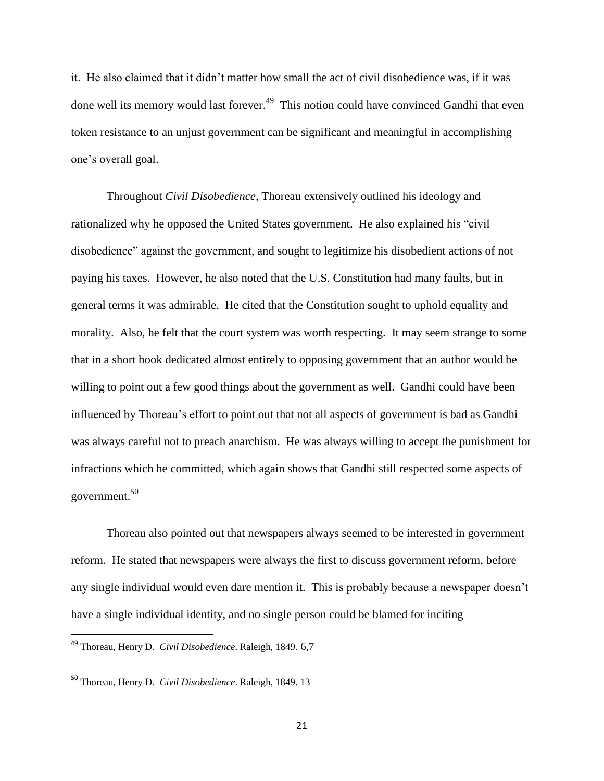it. He also claimed that it didn't matter how small the act of civil disobedience was, if it was done well its memory would last forever.<sup>49</sup> This notion could have convinced Gandhi that even token resistance to an unjust government can be significant and meaningful in accomplishing one's overall goal.

Throughout *Civil Disobedience,* Thoreau extensively outlined his ideology and rationalized why he opposed the United States government. He also explained his "civil disobedience" against the government, and sought to legitimize his disobedient actions of not paying his taxes. However, he also noted that the U.S. Constitution had many faults, but in general terms it was admirable. He cited that the Constitution sought to uphold equality and morality. Also, he felt that the court system was worth respecting. It may seem strange to some that in a short book dedicated almost entirely to opposing government that an author would be willing to point out a few good things about the government as well. Gandhi could have been influenced by Thoreau's effort to point out that not all aspects of government is bad as Gandhi was always careful not to preach anarchism. He was always willing to accept the punishment for infractions which he committed, which again shows that Gandhi still respected some aspects of government.<sup>50</sup>

Thoreau also pointed out that newspapers always seemed to be interested in government reform. He stated that newspapers were always the first to discuss government reform, before any single individual would even dare mention it. This is probably because a newspaper doesn't have a single individual identity, and no single person could be blamed for inciting

 $\overline{a}$ 

<sup>49</sup> Thoreau, Henry D. *Civil Disobedience*. Raleigh, 1849. 6,7

<sup>50</sup> Thoreau, Henry D. *Civil Disobedience*. Raleigh, 1849. 13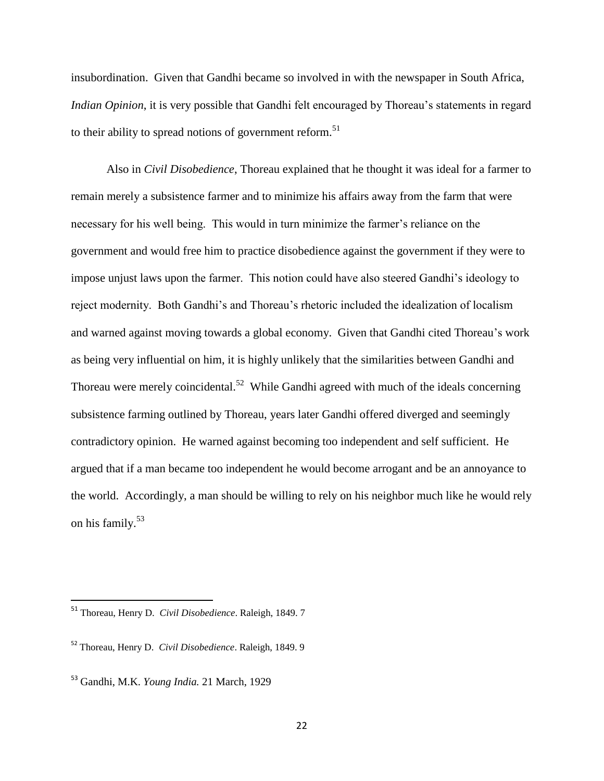insubordination. Given that Gandhi became so involved in with the newspaper in South Africa, *Indian Opinion*, it is very possible that Gandhi felt encouraged by Thoreau's statements in regard to their ability to spread notions of government reform.<sup>51</sup>

Also in *Civil Disobedience*, Thoreau explained that he thought it was ideal for a farmer to remain merely a subsistence farmer and to minimize his affairs away from the farm that were necessary for his well being. This would in turn minimize the farmer's reliance on the government and would free him to practice disobedience against the government if they were to impose unjust laws upon the farmer. This notion could have also steered Gandhi's ideology to reject modernity. Both Gandhi's and Thoreau's rhetoric included the idealization of localism and warned against moving towards a global economy. Given that Gandhi cited Thoreau's work as being very influential on him, it is highly unlikely that the similarities between Gandhi and Thoreau were merely coincidental.<sup>52</sup> While Gandhi agreed with much of the ideals concerning subsistence farming outlined by Thoreau, years later Gandhi offered diverged and seemingly contradictory opinion. He warned against becoming too independent and self sufficient. He argued that if a man became too independent he would become arrogant and be an annoyance to the world. Accordingly, a man should be willing to rely on his neighbor much like he would rely on his family.<sup>53</sup>

<sup>51</sup> Thoreau, Henry D. *Civil Disobedience*. Raleigh, 1849. 7

<sup>52</sup> Thoreau, Henry D. *Civil Disobedience*. Raleigh, 1849. 9

<sup>53</sup> Gandhi, M.K. *Young India.* 21 March, 1929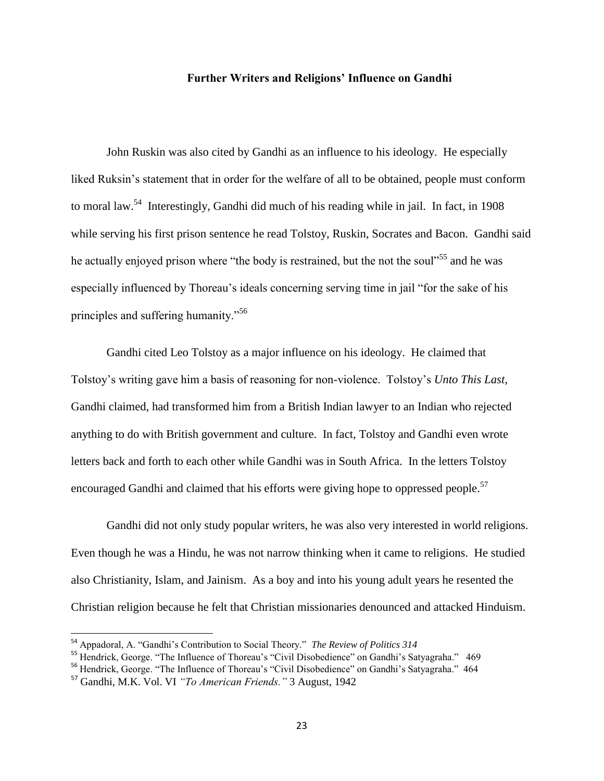#### **Further Writers and Religions' Influence on Gandhi**

John Ruskin was also cited by Gandhi as an influence to his ideology. He especially liked Ruksin's statement that in order for the welfare of all to be obtained, people must conform to moral law.<sup>54</sup> Interestingly, Gandhi did much of his reading while in jail. In fact, in 1908 while serving his first prison sentence he read Tolstoy, Ruskin, Socrates and Bacon. Gandhi said he actually enjoyed prison where "the body is restrained, but the not the soul"<sup>55</sup> and he was especially influenced by Thoreau's ideals concerning serving time in jail "for the sake of his principles and suffering humanity."<sup>56</sup>

Gandhi cited Leo Tolstoy as a major influence on his ideology. He claimed that Tolstoy's writing gave him a basis of reasoning for non-violence. Tolstoy's *Unto This Last,* Gandhi claimed, had transformed him from a British Indian lawyer to an Indian who rejected anything to do with British government and culture. In fact, Tolstoy and Gandhi even wrote letters back and forth to each other while Gandhi was in South Africa. In the letters Tolstoy encouraged Gandhi and claimed that his efforts were giving hope to oppressed people.<sup>57</sup>

Gandhi did not only study popular writers, he was also very interested in world religions. Even though he was a Hindu, he was not narrow thinking when it came to religions. He studied also Christianity, Islam, and Jainism. As a boy and into his young adult years he resented the Christian religion because he felt that Christian missionaries denounced and attacked Hinduism.

<sup>54</sup> Appadoral, A. "Gandhi's Contribution to Social Theory." *The Review of Politics 314*

<sup>&</sup>lt;sup>55</sup> Hendrick, George. "The Influence of Thoreau's "Civil Disobedience" on Gandhi's Satyagraha." 469

<sup>&</sup>lt;sup>56</sup> Hendrick, George. "The Influence of Thoreau's "Civil Disobedience" on Gandhi's Satyagraha." 464

<sup>57</sup> Gandhi, M.K. Vol. VI *"To American Friends."* 3 August, 1942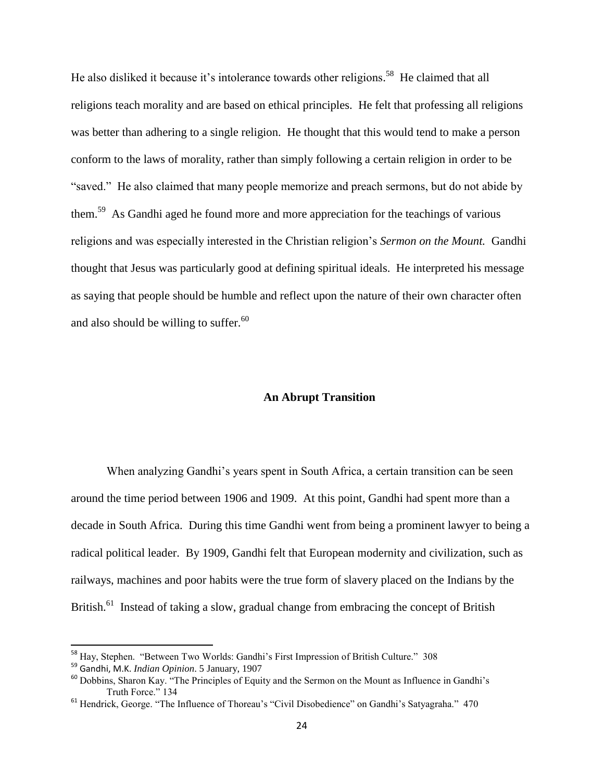He also disliked it because it's intolerance towards other religions.<sup>58</sup> He claimed that all religions teach morality and are based on ethical principles. He felt that professing all religions was better than adhering to a single religion. He thought that this would tend to make a person conform to the laws of morality, rather than simply following a certain religion in order to be "saved." He also claimed that many people memorize and preach sermons, but do not abide by them.<sup>59</sup> As Gandhi aged he found more and more appreciation for the teachings of various religions and was especially interested in the Christian religion's *Sermon on the Mount.* Gandhi thought that Jesus was particularly good at defining spiritual ideals. He interpreted his message as saying that people should be humble and reflect upon the nature of their own character often and also should be willing to suffer. $60$ 

# **An Abrupt Transition**

When analyzing Gandhi's years spent in South Africa, a certain transition can be seen around the time period between 1906 and 1909. At this point, Gandhi had spent more than a decade in South Africa. During this time Gandhi went from being a prominent lawyer to being a radical political leader. By 1909, Gandhi felt that European modernity and civilization, such as railways, machines and poor habits were the true form of slavery placed on the Indians by the British.<sup>61</sup> Instead of taking a slow, gradual change from embracing the concept of British

<sup>58</sup> Hay, Stephen. "Between Two Worlds: Gandhi's First Impression of British Culture." 308

<sup>59</sup> Gandhi, M.K. *Indian Opinion*. 5 January, 1907

<sup>60</sup> Dobbins, Sharon Kay. "The Principles of Equity and the Sermon on the Mount as Influence in Gandhi's Truth Force." 134

<sup>&</sup>lt;sup>61</sup> Hendrick, George. "The Influence of Thoreau's "Civil Disobedience" on Gandhi's Satyagraha." 470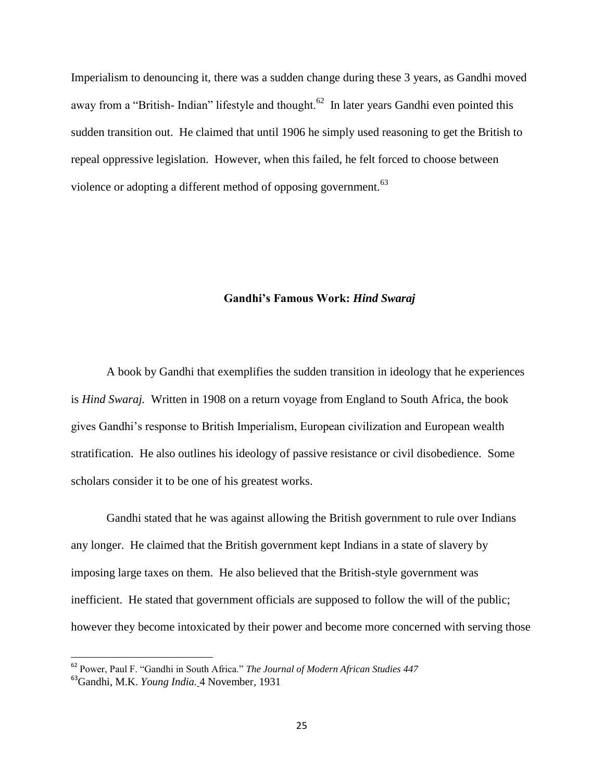Imperialism to denouncing it, there was a sudden change during these 3 years, as Gandhi moved away from a "British-Indian" lifestyle and thought.<sup>62</sup> In later years Gandhi even pointed this sudden transition out. He claimed that until 1906 he simply used reasoning to get the British to repeal oppressive legislation. However, when this failed, he felt forced to choose between violence or adopting a different method of opposing government.<sup>63</sup>

#### **Gandhi's Famous Work:** *Hind Swaraj*

A book by Gandhi that exemplifies the sudden transition in ideology that he experiences is *Hind Swaraj.* Written in 1908 on a return voyage from England to South Africa, the book gives Gandhi's response to British Imperialism, European civilization and European wealth stratification. He also outlines his ideology of passive resistance or civil disobedience. Some scholars consider it to be one of his greatest works.

Gandhi stated that he was against allowing the British government to rule over Indians any longer. He claimed that the British government kept Indians in a state of slavery by imposing large taxes on them. He also believed that the British-style government was inefficient. He stated that government officials are supposed to follow the will of the public; however they become intoxicated by their power and become more concerned with serving those

<sup>62</sup> Power, Paul F. "Gandhi in South Africa." *The Journal of Modern African Studies 447*

<sup>63</sup>Gandhi, M.K. *Young India.* 4 November, 1931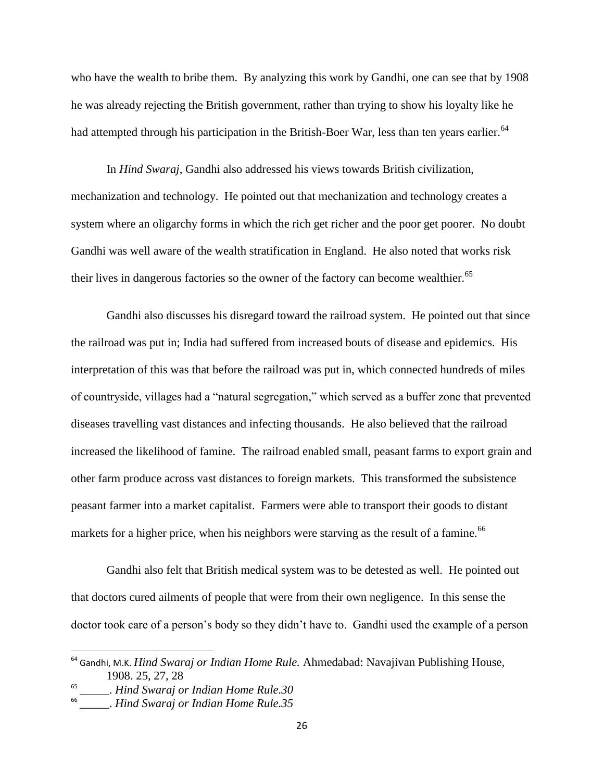who have the wealth to bribe them. By analyzing this work by Gandhi, one can see that by 1908 he was already rejecting the British government, rather than trying to show his loyalty like he had attempted through his participation in the British-Boer War, less than ten years earlier.<sup>64</sup>

In *Hind Swaraj*, Gandhi also addressed his views towards British civilization, mechanization and technology. He pointed out that mechanization and technology creates a system where an oligarchy forms in which the rich get richer and the poor get poorer. No doubt Gandhi was well aware of the wealth stratification in England. He also noted that works risk their lives in dangerous factories so the owner of the factory can become wealthier.<sup>65</sup>

Gandhi also discusses his disregard toward the railroad system. He pointed out that since the railroad was put in; India had suffered from increased bouts of disease and epidemics. His interpretation of this was that before the railroad was put in, which connected hundreds of miles of countryside, villages had a "natural segregation," which served as a buffer zone that prevented diseases travelling vast distances and infecting thousands. He also believed that the railroad increased the likelihood of famine. The railroad enabled small, peasant farms to export grain and other farm produce across vast distances to foreign markets. This transformed the subsistence peasant farmer into a market capitalist. Farmers were able to transport their goods to distant markets for a higher price, when his neighbors were starving as the result of a famine.<sup>66</sup>

Gandhi also felt that British medical system was to be detested as well. He pointed out that doctors cured ailments of people that were from their own negligence. In this sense the doctor took care of a person's body so they didn't have to. Gandhi used the example of a person

<sup>64</sup> Gandhi, M.K. *Hind Swaraj or Indian Home Rule.* Ahmedabad: Navajivan Publishing House, 1908. 25, 27, 28

<sup>65</sup> \_\_\_\_\_. *Hind Swaraj or Indian Home Rule.30* 

<sup>66</sup> \_\_\_\_\_. *Hind Swaraj or Indian Home Rule.35*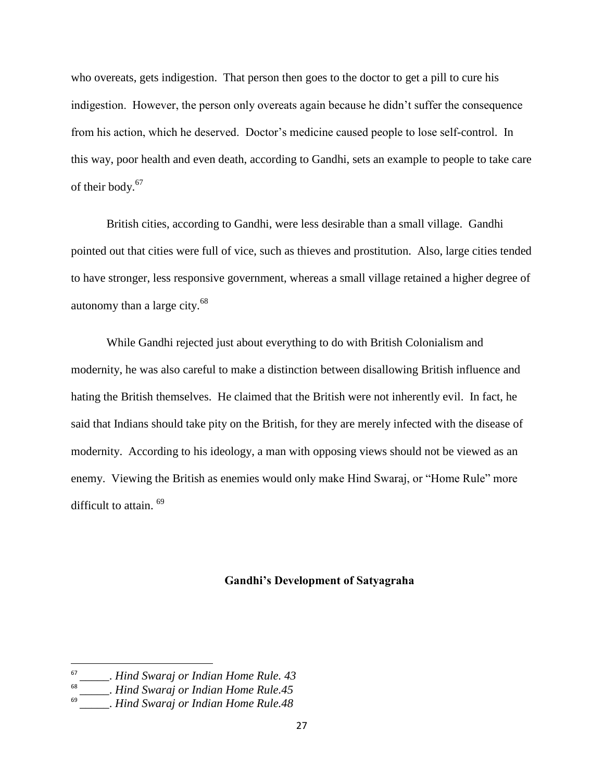who overeats, gets indigestion. That person then goes to the doctor to get a pill to cure his indigestion. However, the person only overeats again because he didn't suffer the consequence from his action, which he deserved. Doctor's medicine caused people to lose self-control. In this way, poor health and even death, according to Gandhi, sets an example to people to take care of their body.<sup>67</sup>

British cities, according to Gandhi, were less desirable than a small village. Gandhi pointed out that cities were full of vice, such as thieves and prostitution. Also, large cities tended to have stronger, less responsive government, whereas a small village retained a higher degree of autonomy than a large city. $^{68}$ 

While Gandhi rejected just about everything to do with British Colonialism and modernity, he was also careful to make a distinction between disallowing British influence and hating the British themselves. He claimed that the British were not inherently evil. In fact, he said that Indians should take pity on the British, for they are merely infected with the disease of modernity. According to his ideology, a man with opposing views should not be viewed as an enemy. Viewing the British as enemies would only make Hind Swaraj, or "Home Rule" more difficult to attain. <sup>69</sup>

#### **Gandhi's Development of Satyagraha**

<sup>67</sup> \_\_\_\_\_. *Hind Swaraj or Indian Home Rule. 43*

<sup>68</sup> \_\_\_\_\_. *Hind Swaraj or Indian Home Rule.45*

 $69$ <sup>-</sup> \_\_\_\_\_. *Hind Swaraj or Indian Home Rule.48*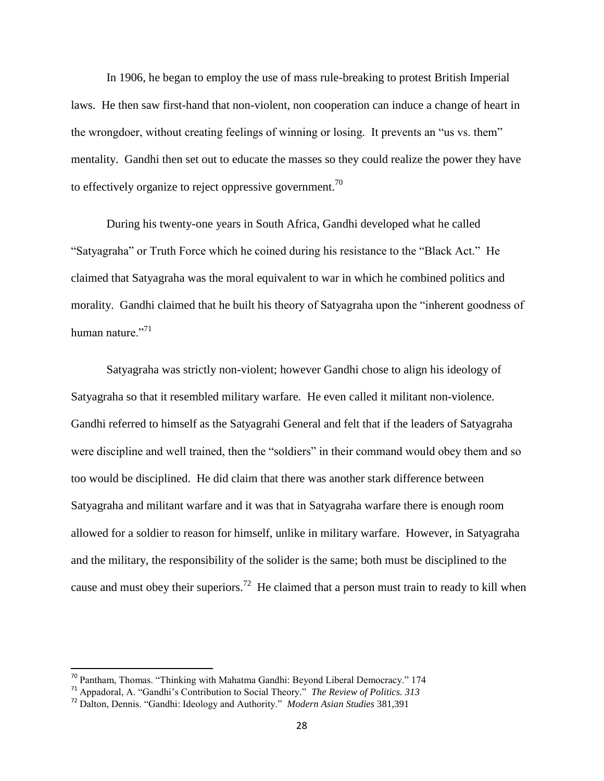In 1906, he began to employ the use of mass rule-breaking to protest British Imperial laws. He then saw first-hand that non-violent, non cooperation can induce a change of heart in the wrongdoer, without creating feelings of winning or losing. It prevents an "us vs. them" mentality. Gandhi then set out to educate the masses so they could realize the power they have to effectively organize to reject oppressive government.<sup>70</sup>

During his twenty-one years in South Africa, Gandhi developed what he called "Satyagraha" or Truth Force which he coined during his resistance to the "Black Act." He claimed that Satyagraha was the moral equivalent to war in which he combined politics and morality. Gandhi claimed that he built his theory of Satyagraha upon the "inherent goodness of human nature."<sup>71</sup>

Satyagraha was strictly non-violent; however Gandhi chose to align his ideology of Satyagraha so that it resembled military warfare. He even called it militant non-violence. Gandhi referred to himself as the Satyagrahi General and felt that if the leaders of Satyagraha were discipline and well trained, then the "soldiers" in their command would obey them and so too would be disciplined. He did claim that there was another stark difference between Satyagraha and militant warfare and it was that in Satyagraha warfare there is enough room allowed for a soldier to reason for himself, unlike in military warfare. However, in Satyagraha and the military, the responsibility of the solider is the same; both must be disciplined to the cause and must obey their superiors.<sup>72</sup> He claimed that a person must train to ready to kill when

<sup>&</sup>lt;sup>70</sup> Pantham, Thomas. "Thinking with Mahatma Gandhi: Beyond Liberal Democracy." 174

<sup>71</sup> Appadoral, A. "Gandhi's Contribution to Social Theory." *The Review of Politics. 313*

<sup>72</sup> Dalton, Dennis. "Gandhi: Ideology and Authority." *Modern Asian Studies* 381,391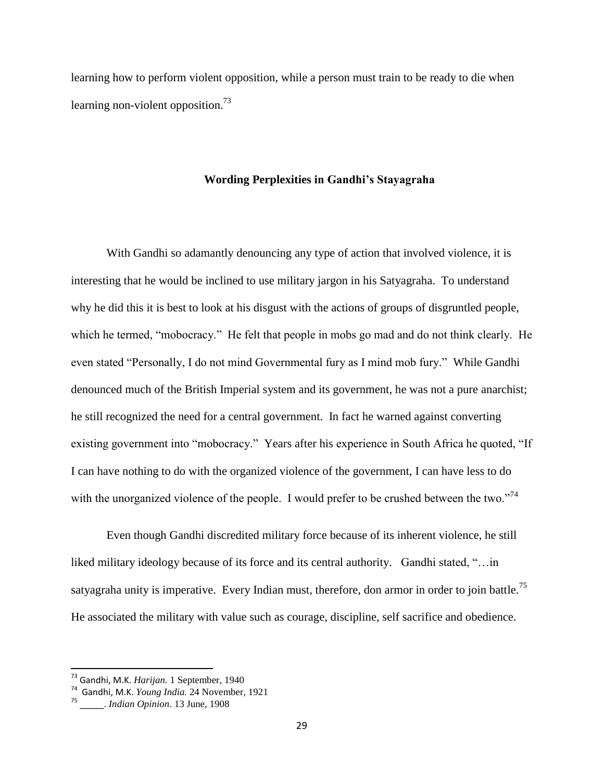learning how to perform violent opposition, while a person must train to be ready to die when learning non-violent opposition.<sup>73</sup>

#### **Wording Perplexities in Gandhi's Stayagraha**

With Gandhi so adamantly denouncing any type of action that involved violence, it is interesting that he would be inclined to use military jargon in his Satyagraha. To understand why he did this it is best to look at his disgust with the actions of groups of disgruntled people, which he termed, "mobocracy." He felt that people in mobs go mad and do not think clearly. He even stated "Personally, I do not mind Governmental fury as I mind mob fury." While Gandhi denounced much of the British Imperial system and its government, he was not a pure anarchist; he still recognized the need for a central government. In fact he warned against converting existing government into "mobocracy." Years after his experience in South Africa he quoted, "If I can have nothing to do with the organized violence of the government, I can have less to do with the unorganized violence of the people. I would prefer to be crushed between the two."<sup>74</sup>

Even though Gandhi discredited military force because of its inherent violence, he still liked military ideology because of its force and its central authority. Gandhi stated, "…in satyagraha unity is imperative. Every Indian must, therefore, don armor in order to join battle.<sup>75</sup> He associated the military with value such as courage, discipline, self sacrifice and obedience.

<sup>73</sup> Gandhi, M.K. *Harijan.* 1 September, 1940

<sup>74</sup> Gandhi, M.K. *Young India.* 24 November, 1921

<sup>75</sup> \_\_\_\_\_. *Indian Opinion*. 13 June, 1908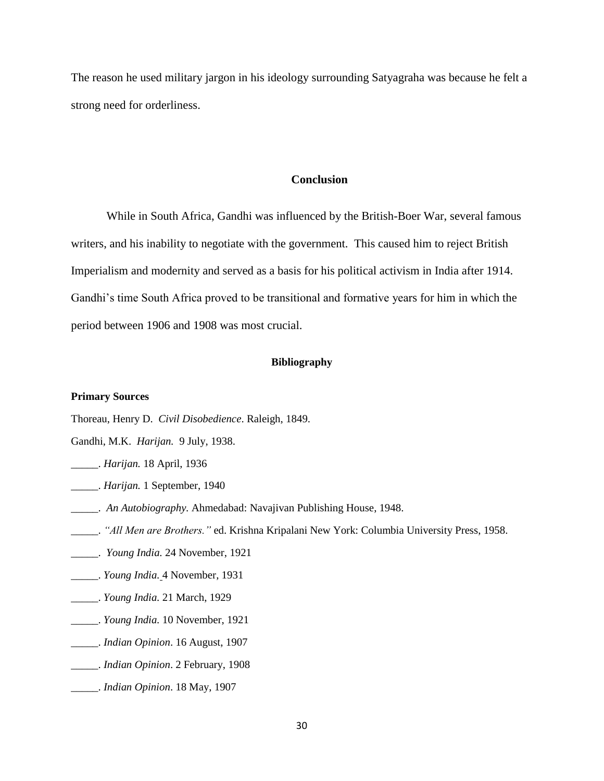The reason he used military jargon in his ideology surrounding Satyagraha was because he felt a strong need for orderliness.

#### **Conclusion**

While in South Africa, Gandhi was influenced by the British-Boer War, several famous writers, and his inability to negotiate with the government. This caused him to reject British Imperialism and modernity and served as a basis for his political activism in India after 1914. Gandhi's time South Africa proved to be transitional and formative years for him in which the period between 1906 and 1908 was most crucial.

#### **Bibliography**

#### **Primary Sources**

- Thoreau, Henry D. *Civil Disobedience*. Raleigh, 1849.
- Gandhi, M.K. *Harijan.* 9 July, 1938.
- \_\_\_\_\_. *Harijan.* 18 April, 1936
- \_\_\_\_\_. *Harijan.* 1 September, 1940
- \_\_\_\_\_. *An Autobiography.* Ahmedabad: Navajivan Publishing House, 1948.
- \_\_\_\_\_. *"All Men are Brothers."* ed. Krishna Kripalani New York: Columbia University Press, 1958.
- \_\_\_\_\_. *Young India.* 24 November, 1921
- \_\_\_\_\_. *Young India.* 4 November, 1931
- \_\_\_\_\_. *Young India.* 21 March, 1929
- \_\_\_\_\_. *Young India.* 10 November, 1921
- \_\_\_\_\_. *Indian Opinion*. 16 August, 1907
- \_\_\_\_\_. *Indian Opinion*. 2 February, 1908
- \_\_\_\_\_. *Indian Opinion*. 18 May, 1907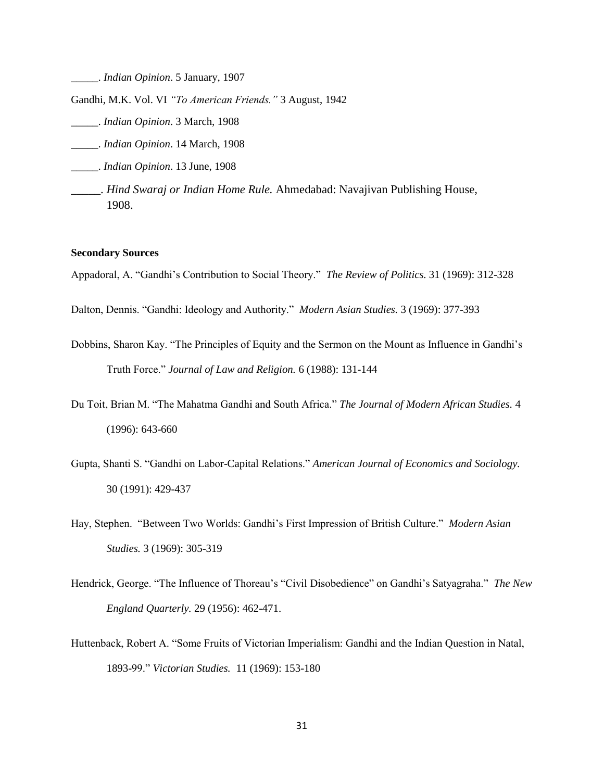\_\_\_\_\_. *Indian Opinion*. 5 January, 1907

Gandhi, M.K. Vol. VI *"To American Friends."* 3 August, 1942

- \_\_\_\_\_. *Indian Opinion*. 3 March, 1908
- \_\_\_\_\_. *Indian Opinion*. 14 March, 1908
- \_\_\_\_\_. *Indian Opinion*. 13 June, 1908
- \_\_\_\_\_. *Hind Swaraj or Indian Home Rule.* Ahmedabad: Navajivan Publishing House, 1908.

#### **Secondary Sources**

Appadoral, A. "Gandhi's Contribution to Social Theory." *The Review of Politics.* 31 (1969): 312-328

- Dalton, Dennis. "Gandhi: Ideology and Authority." *Modern Asian Studies.* 3 (1969): 377-393
- Dobbins, Sharon Kay. "The Principles of Equity and the Sermon on the Mount as Influence in Gandhi's Truth Force." *Journal of Law and Religion.* 6 (1988): 131-144
- Du Toit, Brian M. "The Mahatma Gandhi and South Africa." *The Journal of Modern African Studies.* 4 (1996): 643-660
- Gupta, Shanti S. "Gandhi on Labor-Capital Relations." *American Journal of Economics and Sociology.*  30 (1991): 429-437
- Hay, Stephen. "Between Two Worlds: Gandhi's First Impression of British Culture." *Modern Asian Studies.* 3 (1969): 305-319
- Hendrick, George. "The Influence of Thoreau's "Civil Disobedience" on Gandhi's Satyagraha." *The New England Quarterly.* 29 (1956): 462-471.
- Huttenback, Robert A. "Some Fruits of Victorian Imperialism: Gandhi and the Indian Question in Natal, 1893-99." *Victorian Studies.* 11 (1969): 153-180